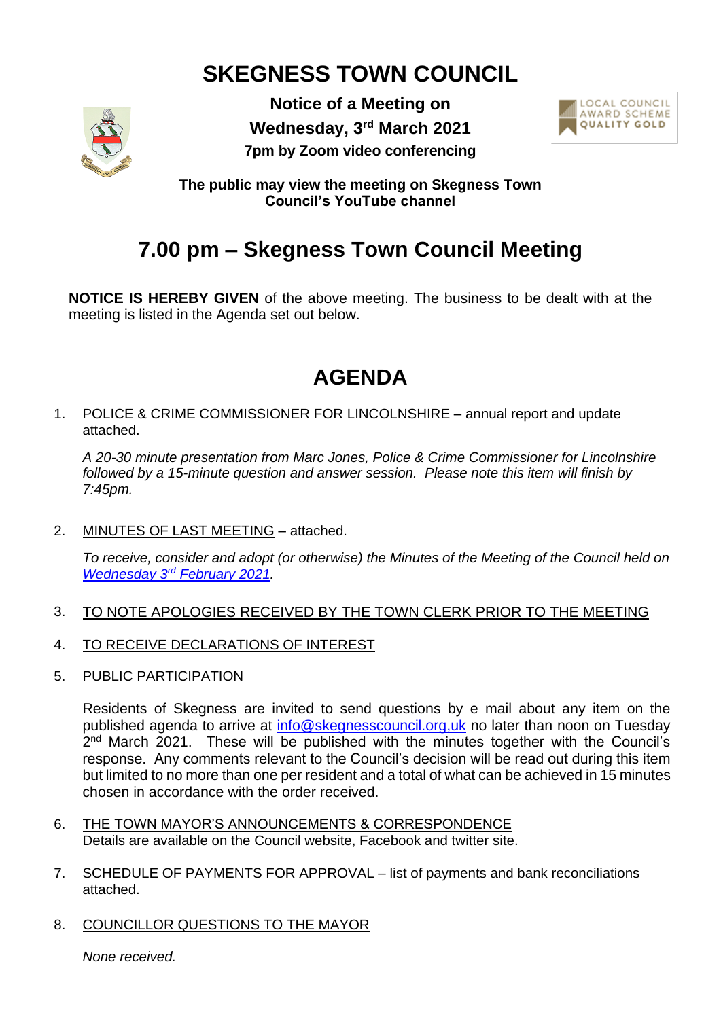# **SKEGNESS TOWN COUNCIL**



**Notice of a Meeting on Wednesday, 3 rd March 2021 7pm by Zoom video conferencing**



**The public may view the meeting on Skegness Town Council's YouTube channel**

## **7.00 pm – Skegness Town Council Meeting**

**NOTICE IS HEREBY GIVEN** of the above meeting. The business to be dealt with at the meeting is listed in the Agenda set out below.

## **AGENDA**

1. POLICE & CRIME COMMISSIONER FOR LINCOLNSHIRE – annual report and update attached.

*A 20-30 minute presentation from Marc Jones, Police & Crime Commissioner for Lincolnshire followed by a 15-minute question and answer session. Please note this item will finish by 7:45pm.*

2. MINUTES OF LAST MEETING – attached.

*To receive, consider and adopt (or otherwise) the Minutes of the Meeting of the Council held on* **Wednesday 3rd [February 2021.](https://www.skegness.gov.uk/uploads/minsfinal-council-2021-02-03.pdf)** 

- 3. TO NOTE APOLOGIES RECEIVED BY THE TOWN CLERK PRIOR TO THE MEETING
- 4. TO RECEIVE DECLARATIONS OF INTEREST
- 5. PUBLIC PARTICIPATION

Residents of Skegness are invited to send questions by e mail about any item on the published agenda to arrive at [info@skegnesscouncil.org,uk](mailto:info@skegnesscouncil.org,uk) no later than noon on Tuesday 2<sup>nd</sup> March 2021. These will be published with the minutes together with the Council's response. Any comments relevant to the Council's decision will be read out during this item but limited to no more than one per resident and a total of what can be achieved in 15 minutes chosen in accordance with the order received.

- 6. THE TOWN MAYOR'S ANNOUNCEMENTS & CORRESPONDENCE Details are available on the Council website, Facebook and twitter site.
- 7. SCHEDULE OF PAYMENTS FOR APPROVAL list of payments and bank reconciliations attached.
- 8. COUNCILLOR QUESTIONS TO THE MAYOR

*None received.*